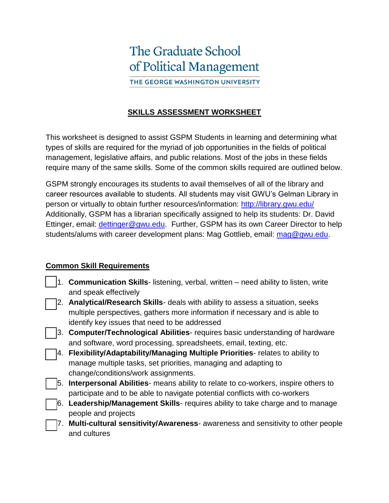# **The Graduate School** of Political Management THE GEORGE WASHINGTON UNIVERSITY

#### **SKILLS ASSESSMENT WORKSHEET**

This worksheet is designed to assist GSPM Students in learning and determining what types of skills are required for the myriad of job opportunities in the fields of political management, legislative affairs, and public relations. Most of the jobs in these fields require many of the same skills. Some of the common skills required are outlined below.

GSPM strongly encourages its students to avail themselves of all of the library and career resources available to students. All students may visit GWU's Gelman Library in person or virtually to obtain further resources/information:<http://library.gwu.edu/> Additionally, GSPM has a librarian specifically assigned to help its students: Dr. David Ettinger, email: [dettinger@gwu.edu.](mailto:dettinger@gwu.edu) Further, GSPM has its own Career Director to help students/alums with career development plans: Mag Gottlieb, email: [mag@gwu.edu.](mailto:mag@gwu.edu)

#### **Common Skill Requirements**

|    | 1. <b>Communication Skills</b> - listening, verbal, written – need ability to listen, write |
|----|---------------------------------------------------------------------------------------------|
|    | and speak effectively                                                                       |
|    | 2. Analytical/Research Skills- deals with ability to assess a situation, seeks              |
|    | multiple perspectives, gathers more information if necessary and is able to                 |
|    | identify key issues that need to be addressed                                               |
|    | 3. Computer/Technological Abilities- requires basic understanding of hardware               |
|    | and software, word processing, spreadsheets, email, texting, etc.                           |
|    | 4. Flexibility/Adaptability/Managing Multiple Priorities- relates to ability to             |
|    | manage multiple tasks, set priorities, managing and adapting to                             |
|    | change/conditions/work assignments.                                                         |
| 5. | <b>Interpersonal Abilities-</b> means ability to relate to co-workers, inspire others to    |
|    | participate and to be able to navigate potential conflicts with co-workers                  |
|    | 6. Leadership/Management Skills- requires ability to take charge and to manage              |
|    | people and projects                                                                         |
| 7. | Multi-cultural sensitivity/Awareness- awareness and sensitivity to other people             |
|    | and cultures                                                                                |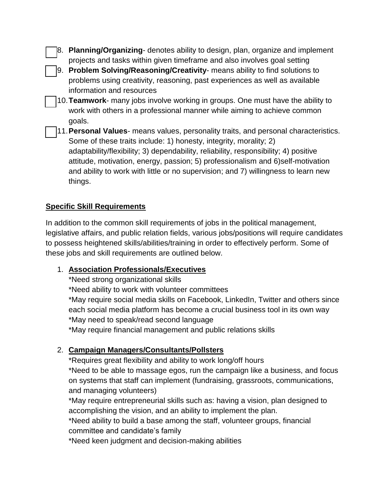- 8. **Planning/Organizing** denotes ability to design, plan, organize and implement projects and tasks within given timeframe and also involves goal setting
- 9. **Problem Solving/Reasoning/Creativity** means ability to find solutions to problems using creativity, reasoning, past experiences as well as available information and resources
- 10.**Teamwork** many jobs involve working in groups. One must have the ability to work with others in a professional manner while aiming to achieve common goals.
- 11.**Personal Values** means values, personality traits, and personal characteristics. Some of these traits include: 1) honesty, integrity, morality; 2) adaptability/flexibility; 3) dependability, reliability, responsibility; 4) positive attitude, motivation, energy, passion; 5) professionalism and 6)self-motivation and ability to work with little or no supervision; and 7) willingness to learn new things.

# **Specific Skill Requirements**

In addition to the common skill requirements of jobs in the political management, legislative affairs, and public relation fields, various jobs/positions will require candidates to possess heightened skills/abilities/training in order to effectively perform. Some of these jobs and skill requirements are outlined below.

## 1. **Association Professionals/Executives**

\*Need strong organizational skills

\*Need ability to work with volunteer committees

\*May require social media skills on Facebook, LinkedIn, Twitter and others since each social media platform has become a crucial business tool in its own way \*May need to speak/read second language

\*May require financial management and public relations skills

## 2. **Campaign Managers/Consultants/Pollsters**

\*Requires great flexibility and ability to work long/off hours

\*Need to be able to massage egos, run the campaign like a business, and focus on systems that staff can implement (fundraising, grassroots, communications, and managing volunteers)

\*May require entrepreneurial skills such as: having a vision, plan designed to accomplishing the vision, and an ability to implement the plan.

\*Need ability to build a base among the staff, volunteer groups, financial committee and candidate's family

\*Need keen judgment and decision-making abilities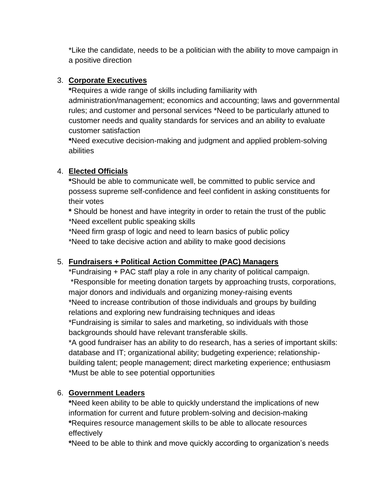\*Like the candidate, needs to be a politician with the ability to move campaign in a positive direction

## 3. **Corporate Executives**

**\***Requires a wide range of skills including familiarity with administration/management; economics and accounting; laws and governmental rules; and customer and personal services \*Need to be particularly attuned to customer needs and quality standards for services and an ability to evaluate customer satisfaction

**\***Need executive decision-making and judgment and applied problem-solving abilities

## 4. **Elected Officials**

**\***Should be able to communicate well, be committed to public service and possess supreme self-confidence and feel confident in asking constituents for their votes

**\*** Should be honest and have integrity in order to retain the trust of the public \*Need excellent public speaking skills

\*Need firm grasp of logic and need to learn basics of public policy \*Need to take decisive action and ability to make good decisions

## 5. **Fundraisers + Political Action Committee (PAC) Managers**

\*Fundraising + PAC staff play a role in any charity of political campaign. \*Responsible for meeting donation targets by approaching trusts, corporations, major donors and individuals and organizing money-raising events \*Need to increase contribution of those individuals and groups by building relations and exploring new fundraising techniques and ideas \*Fundraising is similar to sales and marketing, so individuals with those backgrounds should have relevant transferable skills.

\*A good fundraiser has an ability to do research, has a series of important skills: database and IT; organizational ability; budgeting experience; relationshipbuilding talent; people management; direct marketing experience; enthusiasm \*Must be able to see potential opportunities

## 6. **Government Leaders**

**\***Need keen ability to be able to quickly understand the implications of new information for current and future problem-solving and decision-making **\***Requires resource management skills to be able to allocate resources effectively

**\***Need to be able to think and move quickly according to organization's needs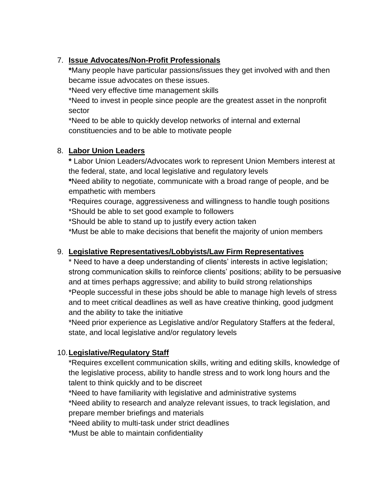## 7. **Issue Advocates/Non-Profit Professionals**

**\***Many people have particular passions/issues they get involved with and then became issue advocates on these issues.

\*Need very effective time management skills

\*Need to invest in people since people are the greatest asset in the nonprofit sector

\*Need to be able to quickly develop networks of internal and external constituencies and to be able to motivate people

## 8. **Labor Union Leaders**

**\*** Labor Union Leaders/Advocates work to represent Union Members interest at the federal, state, and local legislative and regulatory levels

**\***Need ability to negotiate, communicate with a broad range of people, and be empathetic with members

\*Requires courage, aggressiveness and willingness to handle tough positions \*Should be able to set good example to followers

\*Should be able to stand up to justify every action taken

\*Must be able to make decisions that benefit the majority of union members

## 9. **Legislative Representatives/Lobbyists/Law Firm Representatives**

\* Need to have a deep understanding of clients' interests in active legislation; strong communication skills to reinforce clients' positions; ability to be persuasive and at times perhaps aggressive; and ability to build strong relationships \*People successful in these jobs should be able to manage high levels of stress and to meet critical deadlines as well as have creative thinking, good judgment and the ability to take the initiative

\*Need prior experience as Legislative and/or Regulatory Staffers at the federal, state, and local legislative and/or regulatory levels

## 10.**Legislative/Regulatory Staff**

\*Requires excellent communication skills, writing and editing skills, knowledge of the legislative process, ability to handle stress and to work long hours and the talent to think quickly and to be discreet

\*Need to have familiarity with legislative and administrative systems \*Need ability to research and analyze relevant issues, to track legislation, and prepare member briefings and materials

\*Need ability to multi-task under strict deadlines

\*Must be able to maintain confidentiality